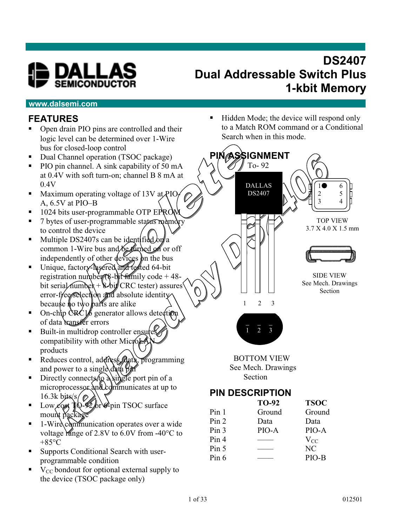

## **DS2407 Dual Addressable Switch Plus 1-kbit Memory**

#### **www.dalsemi.com**

#### **FEATURES**

- Open drain PIO pins are controlled and their logic level can be determined over 1-Wire bus for closed-loop control
- Dual Channel operation (TSOC package)
- PIO pin channel. A sink capability of 50 mA at 0.4V with soft turn-on; channel B 8 mA at 0.4V
- Maximum operating voltage of 13V at  $PIO<sub>i</sub>$ A, 6.5V at PIO–B
- $\blacksquare$  1024 bits user-programmable OTP EPRO
- $\blacksquare$  7 bytes of user-programmable status memory to control the device
- $\blacksquare$  Multiple DS2407s can be identified common 1-Wire bus and be furned on or off independently of other  $\phi$  devices on the bus
- Unique, factory-lasered and tested 64-bit registration number ( $\frac{8}{3}$ -bit family code + 48bit serial number  $+$  8-bit CRC tester) assures error-free selection and absolute identity because no two parts are alike
- On-chip CRC16 generator allows detection of data transfer errors
- Built-in multidrop controller ensures compatibility with other MicroLA products
- Reduces control, address, data, programming and power to a single data pin
- Directly connects to a single port pin of a microprocessor and communicates at up to 16.3k bits $\frac{s}{\sqrt{2}}$
- Low cost  $\phi$ - $\mathscr{D}$  or  $\phi$ -pin TSOC surface mount package
- $\blacksquare$  1-Wire communication operates over a wide voltage range of 2.8V to 6.0V from  $-40^{\circ}$ C to  $+85$ °C
- Supports Conditional Search with userprogrammable condition
- $\bullet\quad$  V<sub>CC</sub> bondout for optional external supply to the device (TSOC package only)

 Hidden Mode; the device will respond only to a Match ROM command or a Conditional Search when in this mode.



BOTTOM VIEW See Mech. Drawings **Section** 

#### **PIN DESCRIPTION**

|                  | <b>TO-92</b> | <b>TSOC</b> |
|------------------|--------------|-------------|
| Pin 1            | Ground       | Ground      |
| Pin 2            | Data         | Data        |
| Pin <sub>3</sub> | PIO-A        | PIO-A       |
| Pin 4            |              | $V_{CC}$    |
| Pin 5            |              | NC          |
| Pin 6            |              | PIO-B       |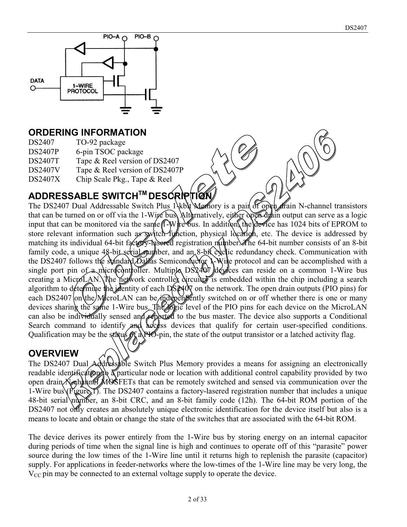

#### **ORDERING INFORMATION**

| TO-92 package                  |
|--------------------------------|
| 6-pin TSOC package             |
| Tape & Reel version of DS2407  |
| Tape & Reel version of DS2407P |
| Chip Scale Pkg., Tape & Reel   |
|                                |

## **ADDRESSABLE SWITCHTM DESCRIPTION**

The DS2407 Dual Addressable Switch Plus 1\kb\t\Memory is a pair of open drain N-channel transistors that can be turned on or off via the 1-Wire bus. Alternatively, either open drain output can serve as a logic input that can be monitored via the same 1-Wire bus. In addition, the device has 1024 bits of EPROM to store relevant information such as switch function, physical location, etc. The device is addressed by matching its individual 64-bit factory-lasered registration number. The 64-bit number consists of an 8-bit family code, a unique 48-bit serial number, and an 8-bit cyclic redundancy check. Communication with the DS2407 follows the standard Dallas Semiconductor 1-Wire protocol and can be accomplished with a single port pin of a microcontroller. Multiple DS2407 devices can reside on a common 1-Wire bus creating a MicroLAN. The network controller dircuitry is embedded within the chip including a search algorithm to determine the identity of each DS2407 on the network. The open drain outputs (PIO pins) for each DS2407 on the *MicroLAN* can be *independently* switched on or off whether there is one or many devices sharing the same 1-Wire bus. The logic level of the PIO pins for each device on the MicroLAN can also be individually sensed and reported to the bus master. The device also supports a Conditional Search command to identify and access devices that qualify for certain user-specified conditions. Qualification may be the status  $\mathcal{O}_k$  a PHO-pin, the state of the output transistor or a latched activity flag.

#### **OVERVIEW**

The DS2407 Dual Addressable Switch Plus Memory provides a means for assigning an electronically readable identification to a particular node or location with additional control capability provided by two open drain N-channel MOSFETs that can be remotely switched and sensed via communication over the 1-Wire bus (Figure 1). The DS2407 contains a factory-lasered registration number that includes a unique 48-bit serial number, an 8-bit CRC, and an 8-bit family code (12h). The 64-bit ROM portion of the DS2407 not only creates an absolutely unique electronic identification for the device itself but also is a means to locate and obtain or change the state of the switches that are associated with the 64-bit ROM.

The device derives its power entirely from the 1-Wire bus by storing energy on an internal capacitor during periods of time when the signal line is high and continues to operate off of this "parasite" power source during the low times of the 1-Wire line until it returns high to replenish the parasite (capacitor) supply. For applications in feeder-networks where the low-times of the 1-Wire line may be very long, the  $V_{CC}$  pin may be connected to an external voltage supply to operate the device.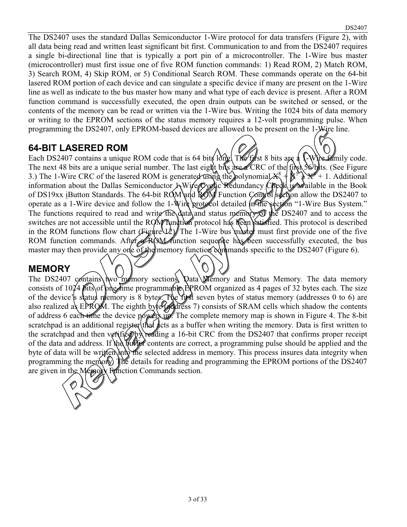The DS2407 uses the standard Dallas Semiconductor 1-Wire protocol for data transfers (Figure 2), with all data being read and written least significant bit first. Communication to and from the DS2407 requires a single bi-directional line that is typically a port pin of a microcontroller. The 1-Wire bus master (microcontroller) must first issue one of five ROM function commands: 1) Read ROM, 2) Match ROM, 3) Search ROM, 4) Skip ROM, or 5) Conditional Search ROM. These commands operate on the 64-bit lasered ROM portion of each device and can singulate a specific device if many are present on the 1-Wire line as well as indicate to the bus master how many and what type of each device is present. After a ROM function command is successfully executed, the open drain outputs can be switched or sensed, or the contents of the memory can be read or written via the 1-Wire bus. Writing the 1024 bits of data memory or writing to the EPROM sections of the status memory requires a 12-volt programming pulse. When programming the DS2407, only EPROM-based devices are allowed to be present on the 1-Wire line.

#### **64-BIT LASERED ROM**

Each DS2407 contains a unique ROM code that is 64 bits long. The first 8 bits are a 1-Wire family code. The next 48 bits are a unique serial number. The last eight bits are a CRC of the first 56 bits. (See Figure 3.) The 1-Wire CRC of the lasered ROM is generated using the polynomial  $\mathcal{X}^8$  +  $\mathbb{N}^5$  $\rightarrow X^4 + 1$ . Additional information about the Dallas Semiconductor  $\lambda$  Wire Cyclic Redundancy Ciped  $k$  is available in the Book of DS19xx iButton Standards. The 64-bit ROM and KOM Function Come of section allow the DS2407 to operate as a 1-Wire device and follow the 1-Wire protocol detailed in the section "1-Wire Bus System." The functions required to read and write the data and status memory of the DS2407 and to access the switches are not accessible until the ROM function protocol has been satisfied. This protocol is described in the ROM functions flow chart  $(FigureU2)/$  The 1-Wire bus master must first provide one of the five ROM function commands. After a ROM function sequence has been successfully executed, the bus master may then provide any one of the memory function  $\alpha$  memors specific to the DS2407 (Figure 6).

#### **MEMORY**

The DS2407 contains two memory sections Data Memory and Status Memory. The data memory consists of 1024 bits of phe-time programmable EPROM organized as 4 pages of 32 bytes each. The size of the device's status memory is 8 bytes. The first seven bytes of status memory (addresses 0 to 6) are also realized as EPROM. The eighth byte (address 7) consists of SRAM cells which shadow the contents of address 6 each time the device powers up. The complete memory map is shown in Figure 4. The 8-bit scratchpad is an additional register that dets as a buffer when writing the memory. Data is first written to the scratchpad and then verified by reading a 16-bit CRC from the DS2407 that confirms proper receipt of the data and address. If the buffer contents are correct, a programming pulse should be applied and the byte of data will be written into the selected address in memory. This process insures data integrity when programming the memory. The details for reading and programming the EPROM portions of the DS2407 are given in the Mémory Function Commands section.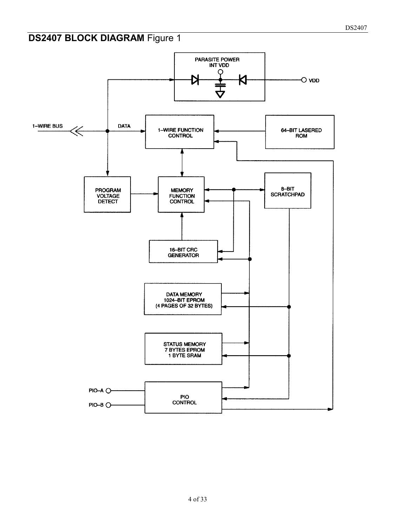## **DS2407 BLOCK DIAGRAM Figure 1**

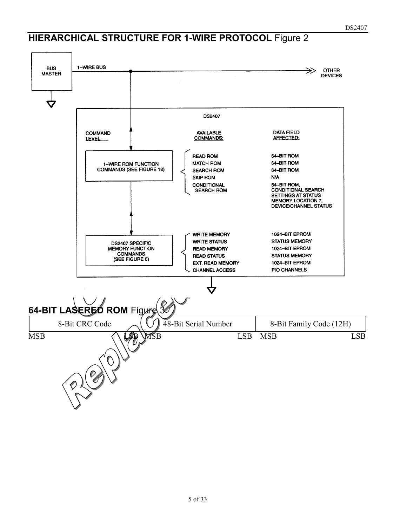# **HIERARCHICAL STRUCTURE FOR 1-WIRE PROTOCOL** Figure 2

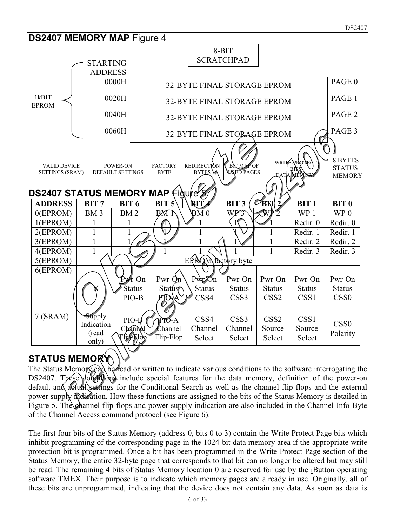

### **STATUS MEMORY**

The Status Memory can be read or written to indicate various conditions to the software interrogating the DS2407. These doughthous include special features for the data memory, definition of the power-on default and actual settings for the Conditional Search as well as the channel flip-flops and the external power supply modication. How these functions are assigned to the bits of the Status Memory is detailed in Figure 5. The channel flip-flops and power supply indication are also included in the Channel Info Byte of the Channel Access command protocol (see Figure 6).

The first four bits of the Status Memory (address 0, bits 0 to 3) contain the Write Protect Page bits which inhibit programming of the corresponding page in the 1024-bit data memory area if the appropriate write protection bit is programmed. Once a bit has been programmed in the Write Protect Page section of the Status Memory, the entire 32-byte page that corresponds to that bit can no longer be altered but may still be read. The remaining 4 bits of Status Memory location 0 are reserved for use by the iButton operating software TMEX. Their purpose is to indicate which memory pages are already in use. Originally, all of these bits are unprogrammed, indicating that the device does not contain any data. As soon as data is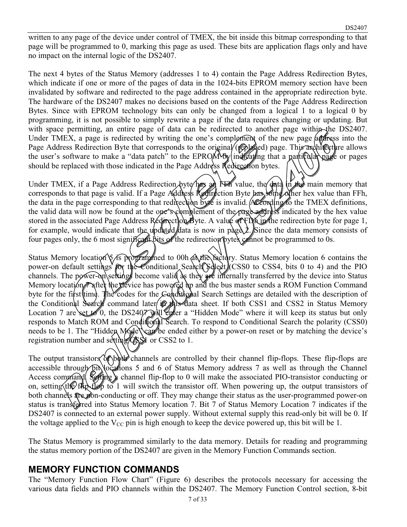written to any page of the device under control of TMEX, the bit inside this bitmap corresponding to that page will be programmed to 0, marking this page as used. These bits are application flags only and have no impact on the internal logic of the DS2407.

The next 4 bytes of the Status Memory (addresses 1 to 4) contain the Page Address Redirection Bytes, which indicate if one or more of the pages of data in the 1024-bits EPROM memory section have been invalidated by software and redirected to the page address contained in the appropriate redirection byte. The hardware of the DS2407 makes no decisions based on the contents of the Page Address Redirection Bytes. Since with EPROM technology bits can only be changed from a logical 1 to a logical 0 by programming, it is not possible to simply rewrite a page if the data requires changing or updating. But with space permitting, an entire page of data can be redirected to another page within the DS2407. Under TMEX, a page is redirected by writing the one's complement of the new page allergies into the Page Address Redirection Byte that corresponds to the original (replaced) page. This architecture allows the user's software to make a "data patch" to the EPROM by indicating that a particular page or pages should be replaced with those indicated in the Page Address Redirection bytes.

Under TMEX, if a Page Address Redirection byte has an FFh value, the data in the main memory that corresponds to that page is valid. If a Page Address Redirection Byte has some other hex value than FFh, the data in the page corresponding to that redirection byte is invalid. According to the TMEX definitions, the valid data will now be found at the one scomplement of the page address indicated by the hex value stored in the associated Page Address Rédirection Byte. A value of FDh in the redirection byte for page 1, for example, would indicate that the updated data is now in page  $2$ . Since the data memory consists of four pages only, the 6 most significant bits of the redirection bytes cannot be programmed to 0s.

Status Memory location 6 is programmed to 00h at the factory. Status Memory location 6 contains the power-on default settings for the Conditional Search Select (CSS0 to CSS4, bits 0 to 4) and the PIO channels. The power-on settings become valid as they are internally transferred by the device into Status Memory location *T* after the device has powered up and the bus master sends a ROM Function Command byte for the first time. The codes for the Conditional Search Settings are detailed with the description of the Conditional Search command later in this data sheet. If both CSS1 and CSS2 in Status Memory Location 7 are set to 0, the DS2407 will enter a "Hidden Mode" where it will keep its status but only responds to Match ROM and Conditional Search. To respond to Conditional Search the polarity (CSS0) needs to be 1. The "Hidden Mode can be ended either by a power-on reset or by matching the device's registration number and setting CSS1 or CSS2 to 1.

The output transistors of both channels are controlled by their channel flip-flops. These flip-flops are accessible through  $\phi$  and 6 of Status Memory address 7 as well as through the Channel Access command. Setting a channel flip-flop to 0 will make the associated PIO-transistor conducting or on, setting the flip-flop to 1 will switch the transistor off. When powering up, the output transistors of both channels are non-conducting or off. They may change their status as the user-programmed power-on status is transferred into Status Memory location 7. Bit 7 of Status Memory Location 7 indicates if the DS2407 is connected to an external power supply. Without external supply this read-only bit will be 0. If the voltage applied to the  $V_{CC}$  pin is high enough to keep the device powered up, this bit will be 1.

The Status Memory is programmed similarly to the data memory. Details for reading and programming the status memory portion of the DS2407 are given in the Memory Function Commands section.

#### **MEMORY FUNCTION COMMANDS**

The "Memory Function Flow Chart" (Figure 6) describes the protocols necessary for accessing the various data fields and PIO channels within the DS2407. The Memory Function Control section, 8-bit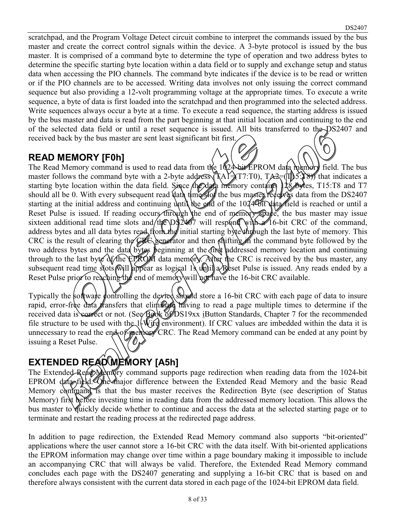scratchpad, and the Program Voltage Detect circuit combine to interpret the commands issued by the bus master and create the correct control signals within the device. A 3-byte protocol is issued by the bus master. It is comprised of a command byte to determine the type of operation and two address bytes to determine the specific starting byte location within a data field or to supply and exchange setup and status data when accessing the PIO channels. The command byte indicates if the device is to be read or written or if the PIO channels are to be accessed. Writing data involves not only issuing the correct command sequence but also providing a 12-volt programming voltage at the appropriate times. To execute a write sequence, a byte of data is first loaded into the scratchpad and then programmed into the selected address. Write sequences always occur a byte at a time. To execute a read sequence, the starting address is issued by the bus master and data is read from the part beginning at that initial location and continuing to the end of the selected data field or until a reset sequence is issued. All bits transferred to the DS2407 and received back by the bus master are sent least significant bit first.

## **READ MEMORY [F0h]**

The Read Memory command is used to read data from the 1024-bit EPROM data memory field. The bus master follows the command byte with a 2-byte address  $\Lambda$ A1=(T7:T0), TA2=(T)5: $\lambda$ 8)) that indicates a starting byte location within the data field. Since the data memory contains  $128$  bytes, T15:T8 and T7 should all be 0. With every subsequent read data time slot the bus master receives data from the DS2407 starting at the initial address and continuing until the end of the 1024 bit data field is reached or until a Reset Pulse is issued. If reading occurs through the end of memory space, the bus master may issue sixteen additional read time slots and/the  $D\frac{3}{2407}$  will respond with a 16-bit CRC of the command, address bytes and all data bytes read from the initial starting byte through the last byte of memory. This CRC is the result of clearing the CRC generator and then shifting in the command byte followed by the two address bytes and the data bytes beginning at the first addressed memory location and continuing through to the last byte of the EPROM data memory. After the CRC is received by the bus master, any subsequent read time slots will appear as logical 1s until a Reset Pulse is issued. Any reads ended by a Reset Pulse prior to reaching the end of memory will not have the 16-bit CRC available.

Typically the software controlling the device should store a 16-bit CRC with each page of data to insure rapid, error-free data transfers that eliminate having to read a page multiple times to determine if the received data is correct or not. (See Book of DS19xx iButton Standards, Chapter 7 for the recommended file structure to be used with the  $1-Wif$  environment). If CRC values are imbedded within the data it is unnecessary to read the end-of-memory CRC. The Read Memory command can be ended at any point by issuing a Reset Pulse.

## **EXTENDED READ MEMORY [A5h]**

The Extended Read Memory command supports page redirection when reading data from the 1024-bit EPROM data field. One major difference between the Extended Read Memory and the basic Read Memory command is that the bus master receives the Redirection Byte (see description of Status Memory) first before investing time in reading data from the addressed memory location. This allows the bus master to quickly decide whether to continue and access the data at the selected starting page or to terminate and restart the reading process at the redirected page address.

In addition to page redirection, the Extended Read Memory command also supports "bit-oriented" applications where the user cannot store a 16-bit CRC with the data itself. With bit-oriented applications the EPROM information may change over time within a page boundary making it impossible to include an accompanying CRC that will always be valid. Therefore, the Extended Read Memory command concludes each page with the DS2407 generating and supplying a 16-bit CRC that is based on and therefore always consistent with the current data stored in each page of the 1024-bit EPROM data field.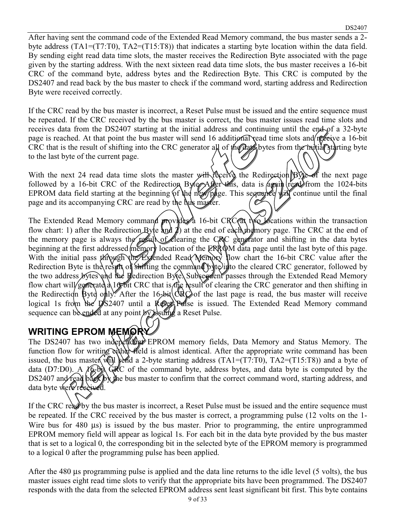After having sent the command code of the Extended Read Memory command, the bus master sends a 2 byte address (TA1=(T7:T0), TA2=(T15:T8)) that indicates a starting byte location within the data field. By sending eight read data time slots, the master receives the Redirection Byte associated with the page given by the starting address. With the next sixteen read data time slots, the bus master receives a 16-bit CRC of the command byte, address bytes and the Redirection Byte. This CRC is computed by the DS2407 and read back by the bus master to check if the command word, starting address and Redirection Byte were received correctly.

If the CRC read by the bus master is incorrect, a Reset Pulse must be issued and the entire sequence must be repeated. If the CRC received by the bus master is correct, the bus master issues read time slots and receives data from the DS2407 starting at the initial address and continuing until the end of a 32-byte page is reached. At that point the bus master will send 16 additional read time slots and receive a 16-bit CRC that is the result of shifting into the CRC generator all of the data bytes from the initial starting byte to the last byte of the current page.

With the next 24 read data time slots the master will receive the Redirection  $\beta$ followed by a 16-bit CRC of the Redirection Byte. After this, data is  $\alpha$  and from the 1024-bits EPROM data field starting at the beginning of the new page. This sequence will continue until the final page and its accompanying CRC are read by the bus master.

The Extended Read Memory command provides a 16-bit CRC at two locations within the transaction flow chart: 1) after the Redirection Byte and 2) at the end of each memory page. The CRC at the end of the memory page is always the result of clearing the CRC generator and shifting in the data bytes beginning at the first addressed memory location of the EPROM data page until the last byte of this page. With the initial pass through the Extended Read Memory flow chart the 16-bit CRC value after the Redirection Byte is the result of shifting the command byte into the cleared CRC generator, followed by the two address bytes and the Redirection Byte. Subsequent passes through the Extended Read Memory flow chart will/generate  $d_1$  16-bit CRC that is the result of clearing the CRC generator and then shifting in the Redirection Byte only. After the 16-bit  $\langle CRC \rangle$  of the last page is read, the bus master will receive logical 1s from the DS2407 until a Reset Pulse is issued. The Extended Read Memory command sequence can be ended at any point by issuing a Reset Pulse.

## **WRITING EPROM MEMORY**

The DS2407 has two independent EPROM memory fields, Data Memory and Status Memory. The function flow for writing either field is almost identical. After the appropriate write command has been issued, the bus master will send a 2-byte starting address (TA1=(T7:T0), TA2=(T15:T8)) and a byte of data (D7:D0). A  $\cancel{16}$ -bit GRC of the command byte, address bytes, and data byte is computed by the DS2407 and read back by the bus master to confirm that the correct command word, starting address, and data byte were received.

If the CRC read by the bus master is incorrect, a Reset Pulse must be issued and the entire sequence must be repeated. If the CRC received by the bus master is correct, a programming pulse (12 volts on the 1- Wire bus for 480 µs) is issued by the bus master. Prior to programming, the entire unprogrammed EPROM memory field will appear as logical 1s. For each bit in the data byte provided by the bus master that is set to a logical 0, the corresponding bit in the selected byte of the EPROM memory is programmed to a logical 0 after the programming pulse has been applied.

After the 480 µs programming pulse is applied and the data line returns to the idle level (5 volts), the bus master issues eight read time slots to verify that the appropriate bits have been programmed. The DS2407 responds with the data from the selected EPROM address sent least significant bit first. This byte contains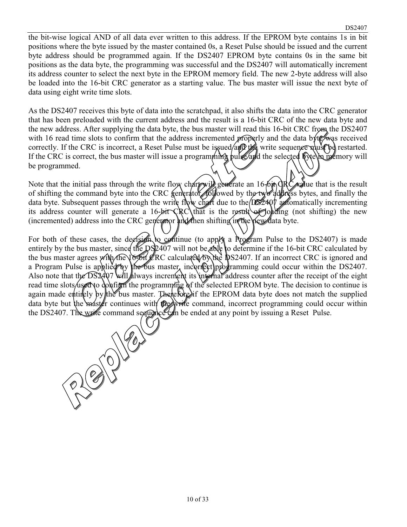the bit-wise logical AND of all data ever written to this address. If the EPROM byte contains 1s in bit positions where the byte issued by the master contained 0s, a Reset Pulse should be issued and the current byte address should be programmed again. If the DS2407 EPROM byte contains 0s in the same bit positions as the data byte, the programming was successful and the DS2407 will automatically increment its address counter to select the next byte in the EPROM memory field. The new 2-byte address will also be loaded into the 16-bit CRC generator as a starting value. The bus master will issue the next byte of data using eight write time slots.

As the DS2407 receives this byte of data into the scratchpad, it also shifts the data into the CRC generator that has been preloaded with the current address and the result is a 16-bit CRC of the new data byte and the new address. After supplying the data byte, the bus master will read this 16-bit CRC from the DS2407 with 16 read time slots to confirm that the address incremented properly and the data byte was received correctly. If the CRC is incorrect, a Reset Pulse must be issued/and the write sequence must be restarted. If the CRC is correct, the bus master will issue a programming pulse and the selected byte in memory will be programmed.

Note that the initial pass through the write flow chart will generate an  $16-6$ it  $\frac{dR}{dX}$  value that is the result of shifting the command byte into the CRC generator, followed by the two ddiress bytes, and finally the data byte. Subsequent passes through the write flow chart due to the  $\sim 240$  *m* automatically incrementing its address counter will generate a 16-bit  $CRC$  that is the result of loading (not shifting) the new (incremented) address into the CRC generator and then shifting in the new data byte.

For both of these cases, the degision to continue (to apply a Program Pulse to the DS2407) is made entirely by the bus master, since the DS2407 will not be able to determine if the 16-bit CRC calculated by the bus master agrees with the 16-bit CRC calculated by the DS2407. If an incorrect CRC is ignored and a Program Pulse is applied by the bus master, incorrect programming could occur within the DS2407. Also note that the DS2407 will always increment its internal address counter after the receipt of the eight read time slots/used to donfirm the programming of the selected EPROM byte. The decision to continue is again made entirely by the bus master. Therefore if the EPROM data byte does not match the supplied data byte but the master continues with the write command, incorrect programming could occur within the DS2407. The write command sequence can be ended at any point by issuing a Reset Pulse.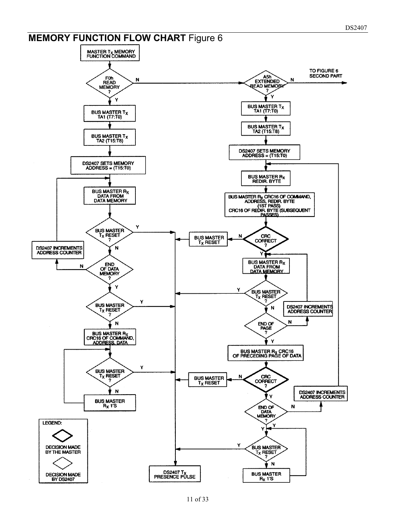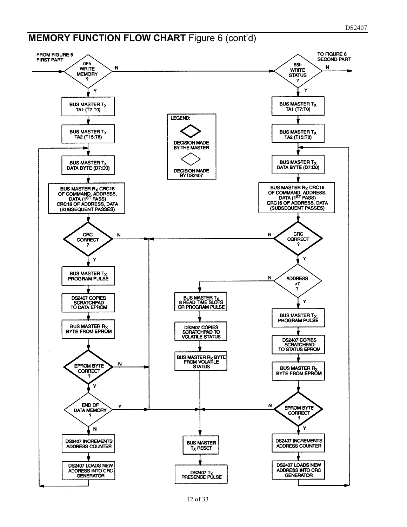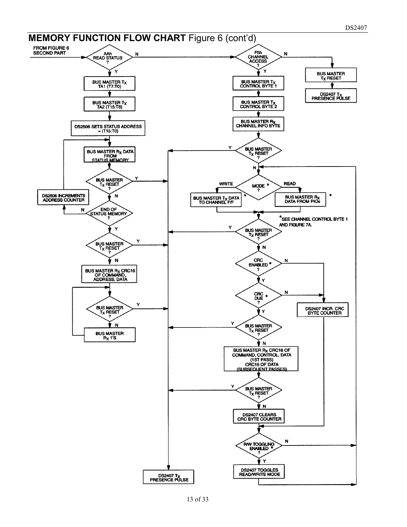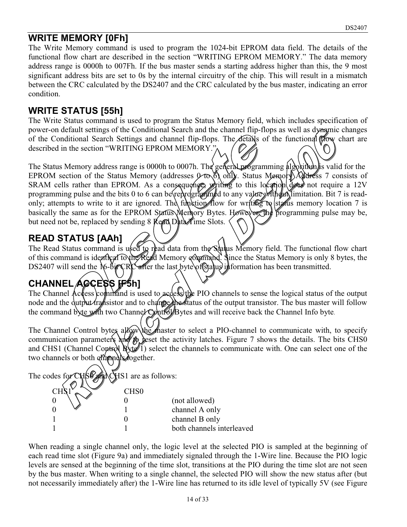## **WRITE MEMORY [0Fh]**

The Write Memory command is used to program the 1024-bit EPROM data field. The details of the functional flow chart are described in the section "WRITING EPROM MEMORY." The data memory address range is 0000h to 007Fh. If the bus master sends a starting address higher than this, the 9 most significant address bits are set to 0s by the internal circuitry of the chip. This will result in a mismatch between the CRC calculated by the DS2407 and the CRC calculated by the bus master, indicating an error condition.

## **WRITE STATUS [55h]**

The Write Status command is used to program the Status Memory field, which includes specification of power-on default settings of the Conditional Search and the channel flip-flops as well as dynamic changes of the Conditional Search Settings and channel flip-flops. The details of the functional flow chart are described in the section "WRITING EPROM MEMORY."

The Status Memory address range is 0000h to 0007h. The general programming algorithm is valid for the EPROM section of the Status Memory (addresses  $(10^{-6})$  only. Status Memory) Address 7 consists of SRAM cells rather than EPROM. As a consequence, writing to this location does not require a 12V programming pulse and the bits 0 to 6 can be reprogrammed to any value with  $\alpha$ . limitation. Bit 7 is readonly; attempts to write to it are ignored. The function flow for writing to status memory location 7 is basically the same as for the EPROM Status Memory Bytes. However, the programming pulse may be, but need not be, replaced by sending 8 Read Data Time Slots.

## **READ STATUS [AAh]**

The Read Status command is used to read data from the Status Memory field. The functional flow chart of this command is identical to the Read Memory command. Since the Status Memory is only 8 bytes, the DS2407 will send the N-bit CRC after the last byte of status information has been transmitted.

## **CHANNEL ACCESS [F5h]**

The Channel Access command is used to access the PIO channels to sense the logical status of the output node and the dutput transistor and to change the status of the output transistor. The bus master will follow the command byte with two Channel Control Bytes and will receive back the Channel Info byte.

The Channel Control bytes allow the master to select a PIO-channel to communicate with, to specify communication parameters and  $\phi$  reset the activity latches. Figure 7 shows the details. The bits CHS0 and CHS1 (Channel Coptrol  $\mathbb{R}$   $\mathbb{R}$  i) select the channels to communicate with. One can select one of the two channels or both channels together.

The codes for CHSO and CHS1 are as follows:  $CHSI^{\sim}$  CHS0

 $0 \quad \setminus \ \setminus \ \blacksquare$  0 (not allowed) 0 1 channel A only 1 0 channel B only 1 1 both channels interleaved

When reading a single channel only, the logic level at the selected PIO is sampled at the beginning of each read time slot (Figure 9a) and immediately signaled through the 1-Wire line. Because the PIO logic levels are sensed at the beginning of the time slot, transitions at the PIO during the time slot are not seen by the bus master. When writing to a single channel, the selected PIO will show the new status after (but not necessarily immediately after) the 1-Wire line has returned to its idle level of typically 5V (see Figure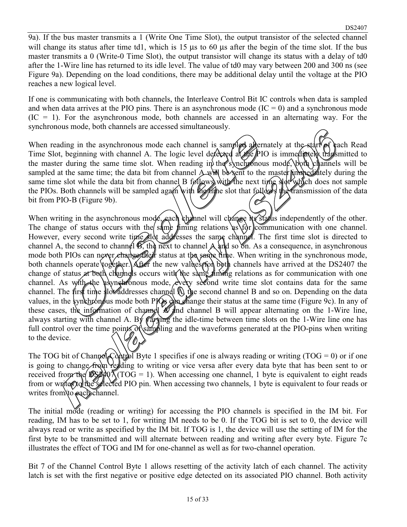9a). If the bus master transmits a 1 (Write One Time Slot), the output transistor of the selected channel will change its status after time td1, which is 15 µs to 60 µs after the begin of the time slot. If the bus master transmits a 0 (Write-0 Time Slot), the output transistor will change its status with a delay of td0 after the 1-Wire line has returned to its idle level. The value of td0 may vary between 200 and 300 ns (see Figure 9a). Depending on the load conditions, there may be additional delay until the voltage at the PIO reaches a new logical level.

If one is communicating with both channels, the Interleave Control Bit IC controls when data is sampled and when data arrives at the PIO pins. There is an asynchronous mode  $(IC = 0)$  and a synchronous mode  $(IC = 1)$ . For the asynchronous mode, both channels are accessed in an alternating way. For the synchronous mode, both channels are accessed simultaneously.

When reading in the asynchronous mode each channel is sampled alternately at the start of each Read Time Slot, beginning with channel A. The logic level detected at the PIO is immediately transmitted to the master during the same time slot. When reading in the synchronous mode, both channels will be sampled at the same time; the data bit from channel  $A$  will be sent to the master limmediately during the same time slot while the data bit from channel B follows with the next time slot which does not sample the PIOs. Both channels will be sampled again with the time slot that follows the transmission of the data bit from PIO-B (Figure 9b).

When writing in the asynchronous modé, each channel will change  $\lambda$  status independently of the other. The change of status occurs with the same timing relations as  $f(x)$  communication with one channel. However, every second write time slot addresses the same channel. The first time slot is directed to channel A, the second to channel  $\mathcal{B}$ , the next to channel  $\mathcal{A}$  and so on. As a consequence, in asynchronous mode both PIOs can never change their status at the same time. When writing in the synchronous mode, both channels operate together. After the new values for both channels have arrived at the DS2407 the change of status at both channels occurs with the same timing relations as for communication with one channel. As with the asynchronous mode, every second write time slot contains data for the same channel. The first time slot addresses channel A, the second channel B and so on. Depending on the data values, in the synchronous mode both PIOs can change their status at the same time (Figure 9c). In any of these cases, the information of channel  $\mathcal{A}$  and channel B will appear alternating on the 1-Wire line, always starting with channel A. By  $\sqrt{a}$  arying the idle-time between time slots on the 1-Wire line one has full control over the time points of sampling and the waveforms generated at the PIO-pins when writing to the device. to the device.

The TOG bit of Channel Control Byte 1 specifies if one is always reading or writing (TOG = 0) or if one is going to change from reading to writing or vice versa after every data byte that has been sent to or received from the  $DS240\overline{\Lambda}(\text{TOG} = 1)$ . When accessing one channel, 1 byte is equivalent to eight reads from or writes to the selected PIO pin. When accessing two channels, 1 byte is equivalent to four reads or writes from to each channel.

The initial mode (reading or writing) for accessing the PIO channels is specified in the IM bit. For reading, IM has to be set to 1, for writing IM needs to be 0. If the TOG bit is set to 0, the device will always read or write as specified by the IM bit. If TOG is 1, the device will use the setting of IM for the first byte to be transmitted and will alternate between reading and writing after every byte. Figure 7c illustrates the effect of TOG and IM for one-channel as well as for two-channel operation.

Bit 7 of the Channel Control Byte 1 allows resetting of the activity latch of each channel. The activity latch is set with the first negative or positive edge detected on its associated PIO channel. Both activity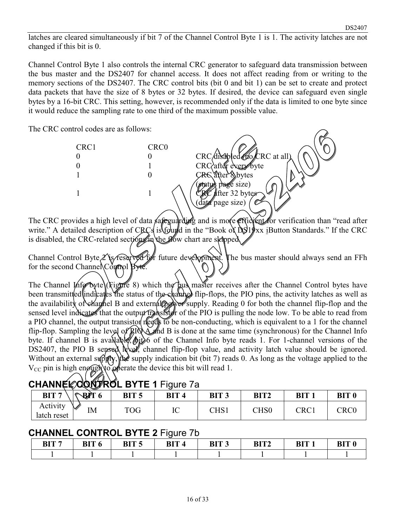latches are cleared simultaneously if bit 7 of the Channel Control Byte 1 is 1. The activity latches are not changed if this bit is 0.

Channel Control Byte 1 also controls the internal CRC generator to safeguard data transmission between the bus master and the DS2407 for channel access. It does not affect reading from or writing to the memory sections of the DS2407. The CRC control bits (bit 0 and bit 1) can be set to create and protect data packets that have the size of 8 bytes or 32 bytes. If desired, the device can safeguard even single bytes by a 16-bit CRC. This setting, however, is recommended only if the data is limited to one byte since it would reduce the sampling rate to one third of the maximum possible value.

The CRC control codes are as follows:

CRC1 CRC0 0  $ORC/di$ sabled (plo CRC) CRC at all  $0 \qquad 1 \qquad \qquad \text{CRC}$  after every byte 1 0 CRC after 8 bytes  $\epsilon$  size) 1  $\sqrt{2\pi}$  1  $\sqrt{2\pi}$  after 32 bytes (data page size)

The CRC provides a high level of data safeguarding and is more efficient for verification than "read after write." A detailed description of CRCs is found in the "Book of DS19xx iButton Standards." If the CRC is disabled, the CRC-related sections in the flow chart are skipped.

Channel Control Byte  $\chi$  is reserved for future development. The bus master should always send an FFh for the second Channel Control Byte.

The Channel Info byte (Figure 8) which the bus master receives after the Channel Control bytes have been transmitted indicates the status of the channel flip-flops, the PIO pins, the activity latches as well as the availability of channel B and external power supply. Reading 0 for both the channel flip-flop and the sensed level indicates that the output transistor of the PIO is pulling the node low. To be able to read from a PIO channel, the output transistor needs to be non-conducting, which is equivalent to a 1 for the channel flip-flop. Sampling the level of  $\overline{B}I\overline{O}\setminus\overline{A}$  and B is done at the same time (synchronous) for the Channel Info byte. If channel B is available, bit 6 of the Channel Info byte reads 1. For 1-channel versions of the DS2407, the PIO B sensed level, channel flip-flop value, and activity latch value should be ignored. Without an external supply, the supply indication bit (bit 7) reads 0. As long as the voltage applied to the  $V_{\text{CC}}$  pin is high enough to operate the device this bit will read 1.

## **CHANNEL CONTROL BYTE 1** Figure 7a

| BIT <sub>7</sub><br>$\sim$   | _<br>BIT <sub>6</sub> | BIT <sub>5</sub> | BIT <sub>4</sub> | BIT <sub>3</sub> | BIT2         | <b>BIT</b> | <b>BIT 0</b>    |
|------------------------------|-----------------------|------------------|------------------|------------------|--------------|------------|-----------------|
| Activity<br>м<br>latch reset | IM                    | <b>TOG</b>       | IC               | CHS1             | ${\rm CHS0}$ | CRC1       | $\mathrm{CRC0}$ |

#### **CHANNEL CONTROL BYTE 2** Figure 7b

| BIT <sub>7</sub> | BIT 6 | DIT $\epsilon$<br>DI I J | BIT<br>$\sqrt{2}$ | BIT <sub>3</sub> | BIT2 | DIT | <b>RIT 0</b> |
|------------------|-------|--------------------------|-------------------|------------------|------|-----|--------------|
|                  |       |                          |                   |                  |      |     |              |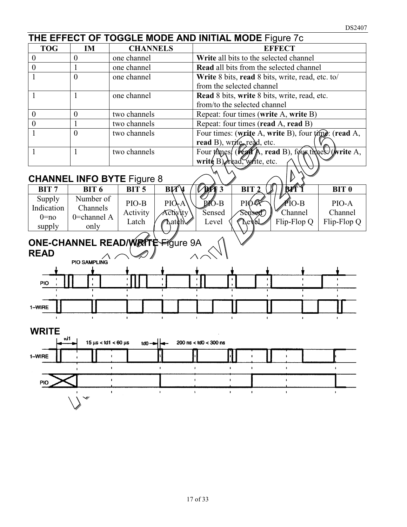|                                            |                                                |                                                                  | THE EFFECT OF TOGGLE MODE AND INITIAL MODE Figure 7c                                                                                                          |  |  |  |  |  |  |
|--------------------------------------------|------------------------------------------------|------------------------------------------------------------------|---------------------------------------------------------------------------------------------------------------------------------------------------------------|--|--|--|--|--|--|
| <b>TOG</b>                                 | IM                                             | <b>CHANNELS</b>                                                  | <b>EFFECT</b>                                                                                                                                                 |  |  |  |  |  |  |
| $\boldsymbol{0}$                           | $\mathbf{0}$                                   | one channel                                                      | Write all bits to the selected channel                                                                                                                        |  |  |  |  |  |  |
| $\boldsymbol{0}$                           | $\mathbf{1}$                                   | one channel                                                      | <b>Read all bits from the selected channel</b>                                                                                                                |  |  |  |  |  |  |
| $\mathbf{1}$                               | $\mathbf{0}$                                   | one channel                                                      | Write 8 bits, read 8 bits, write, read, etc. to/                                                                                                              |  |  |  |  |  |  |
|                                            |                                                |                                                                  | from the selected channel                                                                                                                                     |  |  |  |  |  |  |
| 1                                          | 1                                              | one channel                                                      | Read 8 bits, write 8 bits, write, read, etc.                                                                                                                  |  |  |  |  |  |  |
|                                            |                                                |                                                                  | from/to the selected channel                                                                                                                                  |  |  |  |  |  |  |
| $\boldsymbol{0}$                           | $\boldsymbol{0}$                               | two channels                                                     | Repeat: four times (write A, write B)                                                                                                                         |  |  |  |  |  |  |
| $\overline{0}$                             | 1                                              | two channels                                                     | Repeat: four times (read A, read B)                                                                                                                           |  |  |  |  |  |  |
| $\mathbf{1}$                               | $\mathbf{0}$                                   | two channels                                                     | Four times: (write A, write B), four time: (read A,<br>read B), write, read, etc.                                                                             |  |  |  |  |  |  |
| $\mathbf{1}$                               | $\mathbf{1}$                                   | two channels                                                     | Four thnes! (read A, read B), four thnes. (write A,<br>write $B)$ , read, write, etc.                                                                         |  |  |  |  |  |  |
|                                            |                                                | <b>CHANNEL INFO BYTE Figure 8</b>                                | ₿                                                                                                                                                             |  |  |  |  |  |  |
| BIT <sub>7</sub>                           | BIT 6                                          | B(X)<br>BIT <sub>5</sub>                                         | $BT^T$<br><b>BAT</b> 3<br><b>BIT 0</b><br>BIT <sub>2</sub>                                                                                                    |  |  |  |  |  |  |
| Supply<br>Indication<br>$0 = no$<br>supply | Number of<br>Channels<br>0=channel $A$<br>only | PIO, A<br>PIO-B<br>Activity<br>Activity<br>Latch<br><b>Aatch</b> | $\sqrt{\rho}$ IO-B<br>$PIO-B$<br>PIO-A<br>PIO-A<br>Sensed<br>Channel<br>Channel<br>Sensed <sup>7</sup><br><b>Level</b><br>Flip-Flop Q<br>Flip-Flop Q<br>Level |  |  |  |  |  |  |
| <b>READ</b>                                | <b>PIO SAMPLING</b>                            | <b>ONE-CHANNEL READ/WRITE-Figure 9A</b>                          |                                                                                                                                                               |  |  |  |  |  |  |
| PIO                                        |                                                |                                                                  |                                                                                                                                                               |  |  |  |  |  |  |
|                                            |                                                |                                                                  |                                                                                                                                                               |  |  |  |  |  |  |
| 1-WIRE                                     |                                                |                                                                  |                                                                                                                                                               |  |  |  |  |  |  |
| <b>WRITE</b><br>ш1                         | $15 \mu s <$ td1 < 60 $\mu s$                  | td0 – <del>→ H</del>                                             | $200$ ns < $\text{td0}$ < $300$ ns                                                                                                                            |  |  |  |  |  |  |
| 1-WIRE                                     |                                                |                                                                  |                                                                                                                                                               |  |  |  |  |  |  |
|                                            | ٠                                              | $\blacksquare$<br>$\mathbf{r}$                                   | $\mathbf{I}$<br>ı                                                                                                                                             |  |  |  |  |  |  |
|                                            |                                                | $\blacksquare$                                                   |                                                                                                                                                               |  |  |  |  |  |  |
|                                            |                                                | Ť.<br>$\mathbf{r}$                                               | $\mathbf{I}$<br>$\bullet$<br>ŧ.                                                                                                                               |  |  |  |  |  |  |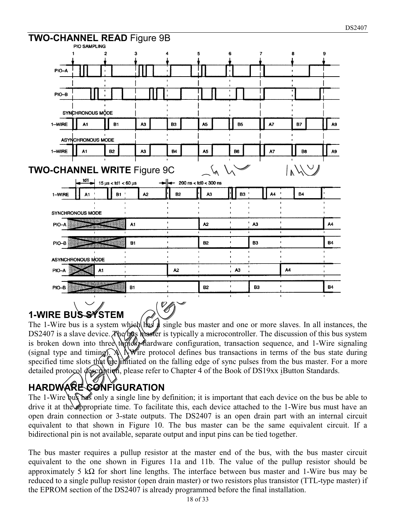

## **1-WIRE BUS SYSTEM**

The 1-Wire bus is a system which has a single bus master and one or more slaves. In all instances, the DS2407 is a slave device. The bus master is typically a microcontroller. The discussion of this bus system is broken down into three topics, hardware configuration, transaction sequence, and 1-Wire signaling (signal type and timing). A 1-Wire protocol defines bus transactions in terms of the bus state during specified time slots that are limitiated on the falling edge of sync pulses from the bus master. For a more detailed protocol description, please refer to Chapter 4 of the Book of DS19xx iButton Standards.

## **HARDWARE CONFIGURATION**

The 1-Wire bus has only a single line by definition; it is important that each device on the bus be able to drive it at the appropriate time. To facilitate this, each device attached to the 1-Wire bus must have an open drain connection or 3-state outputs. The DS2407 is an open drain part with an internal circuit equivalent to that shown in Figure 10. The bus master can be the same equivalent circuit. If a bidirectional pin is not available, separate output and input pins can be tied together.

The bus master requires a pullup resistor at the master end of the bus, with the bus master circuit equivalent to the one shown in Figures 11a and 11b. The value of the pullup resistor should be approximately 5 k $\Omega$  for short line lengths. The interface between bus master and 1-Wire bus may be reduced to a single pullup resistor (open drain master) or two resistors plus transistor (TTL-type master) if the EPROM section of the DS2407 is already programmed before the final installation.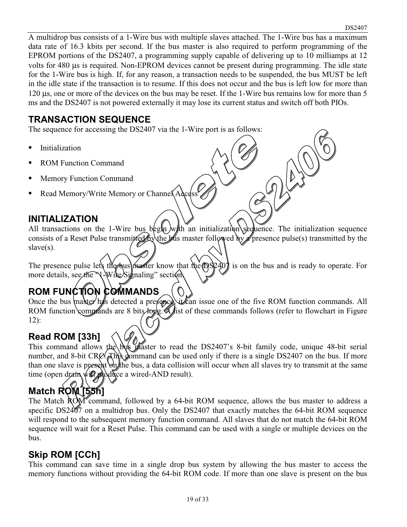A multidrop bus consists of a 1-Wire bus with multiple slaves attached. The 1-Wire bus has a maximum data rate of 16.3 kbits per second. If the bus master is also required to perform programming of the EPROM portions of the DS2407, a programming supply capable of delivering up to 10 milliamps at 12 volts for 480 µs is required. Non-EPROM devices cannot be present during programming. The idle state for the 1-Wire bus is high. If, for any reason, a transaction needs to be suspended, the bus MUST be left in the idle state if the transaction is to resume. If this does not occur and the bus is left low for more than 120 µs, one or more of the devices on the bus may be reset. If the 1-Wire bus remains low for more than 5 ms and the DS2407 is not powered externally it may lose its current status and switch off both PIOs.

## **TRANSACTION SEQUENCE**

The sequence for accessing the DS2407 via the 1-Wire port is as follows:

- **I**nitialization
- ROM Function Command
- Memory Function Command
- Read Memory/Write Memory or Channel Adcess

### **INITIALIZATION**

All transactions on the 1-Wire bus begin with an initialization sequence. The initialization sequence consists of a Reset Pulse transmitted by the bus master followed by a presence pulse(s) transmitted by the slave(s).

The presence pulse lets the bus master know that  $\aleph_{\mathbb{C}}(\mathbb{R})$  is on the bus and is ready to operate. For more details, see the \\\_4\Wike Signaling" section.

## **ROM FUNCTION COMMANDS**

Once the bus master has detected a presence, it can issue one of the five ROM function commands. All ROM function comprands are 8 bits long. A list of these commands follows (refer to flowchart in Figure 12):

## **Read ROM [33h]**

This command allows the bus master to read the DS2407's 8-bit family code, unique 48-bit serial number, and 8-bit CRC. This command can be used only if there is a single DS2407 on the bus. If more than one slave is present on the bus, a data collision will occur when all slaves try to transmit at the same time (open drain will produce a wired-AND result).

## **Match ROM [55h]**

The Match ROM command, followed by a 64-bit ROM sequence, allows the bus master to address a specific DS2407 on a multidrop bus. Only the DS2407 that exactly matches the 64-bit ROM sequence will respond to the subsequent memory function command. All slaves that do not match the 64-bit ROM sequence will wait for a Reset Pulse. This command can be used with a single or multiple devices on the bus.

## **Skip ROM [CCh]**

This command can save time in a single drop bus system by allowing the bus master to access the memory functions without providing the 64-bit ROM code. If more than one slave is present on the bus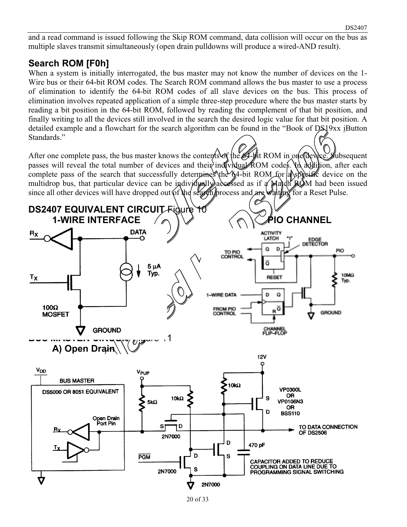and a read command is issued following the Skip ROM command, data collision will occur on the bus as multiple slaves transmit simultaneously (open drain pulldowns will produce a wired-AND result).

### **Search ROM [F0h]**

When a system is initially interrogated, the bus master may not know the number of devices on the 1-Wire bus or their 64-bit ROM codes. The Search ROM command allows the bus master to use a process of elimination to identify the 64-bit ROM codes of all slave devices on the bus. This process of elimination involves repeated application of a simple three-step procedure where the bus master starts by reading a bit position in the 64-bit ROM, followed by reading the complement of that bit position, and finally writing to all the devices still involved in the search the desired logic value for that bit position. A detailed example and a flowchart for the search algorithm can be found in the "Book of DS19xx iButton Standards."

After one complete pass, the bus master knows the contents of the 64-bit ROM in one device. Subsequent passes will reveal the total number of devices and their individual ROM codes. In addition, after each passes will reveal the total number of devices and their individual ROM codes. complete pass of the search that successfully determines the 64-bit ROM for a specific device on the multidrop bus, that particular device can be individually accessed as if  $\alpha'$  Match ROM had been issued since all other devices will have dropped out of the search process and are waiting for a Reset Pulse.

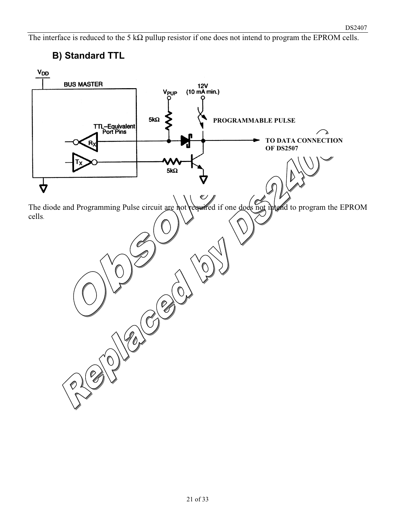The interface is reduced to the 5 k $\Omega$  pullup resistor if one does not intend to program the EPROM cells.

## **B) Standard TTL**

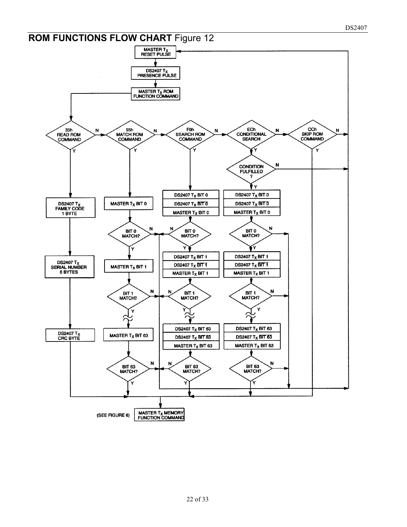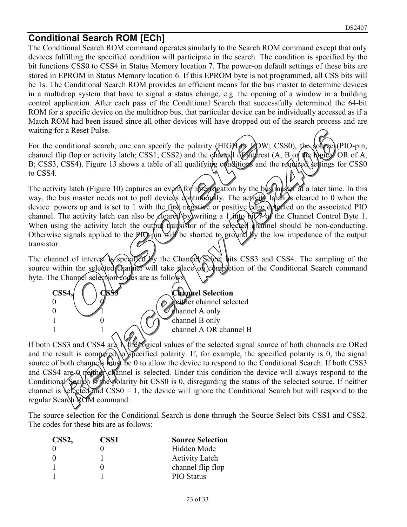### **Conditional Search ROM [ECh]**

The Conditional Search ROM command operates similarly to the Search ROM command except that only devices fulfilling the specified condition will participate in the search. The condition is specified by the bit functions CSS0 to CSS4 in Status Memory location 7. The power-on default settings of these bits are stored in EPROM in Status Memory location 6. If this EPROM byte is not programmed, all CSS bits will be 1s. The Conditional Search ROM provides an efficient means for the bus master to determine devices in a multidrop system that have to signal a status change, e.g. the opening of a window in a building control application. After each pass of the Conditional Search that successfully determined the 64-bit ROM for a specific device on the multidrop bus, that particular device can be individually accessed as if a Match ROM had been issued since all other devices will have dropped out of the search process and are waiting for a Reset Pulse.

For the conditional search, one can specify the polarity ( $HIGH$   $\alpha$   $LQOW$ ; CSS0), the source (PIO-pin, channel flip flop or activity latch; CSS1, CSS2) and the champel of interest  $(A, B, o)$  the logical OR of A, B; CSS3, CSS4). Figure 13 shows a table of all qualifying conditions and the required settings for CSS0 to CSS4.

The activity latch (Figure 10) captures an event for interrogation by the bus master at a later time. In this way, the bus master needs not to poll devices continuously. The activity later is cleared to 0 when the device powers up and is set to 1 with the first negative or positive edge detected on the associated PIO channel. The activity latch can also be  $\mathcal{L}$  eared by writing a 1 into bit  $\mathcal{V}$  of the Channel Control Byte 1. When using the activity latch the output transistor of the selected channel should be non-conducting. Otherwise signals applied to the PIO  $\lim_{n \to \infty}$  be shorted to ground by the low impedance of the output transistor.

The channel of interest is specified by the Channel Select bits CSS3 and CSS4. The sampling of the source within the selected channel will take place on completion of the Conditional Search command byte. The Channel selection codes are as follows



If both CSS3 and CSS4 are  $\Lambda$  the logical values of the selected signal source of both channels are ORed and the result is compared to specified polarity. If, for example, the specified polarity is 0, the signal source of both channels must be 0 to allow the device to respond to the Conditional Search. If both CSS3 and CSS4 are Q neither channel is selected. Under this condition the device will always respond to the Conditional Search if the polarity bit CSS0 is 0, disregarding the status of the selected source. If neither channel is selected and  $CSS0 = 1$ , the device will ignore the Conditional Search but will respond to the regular Search ROM command.

The source selection for the Conditional Search is done through the Source Select bits CSS1 and CSS2. The codes for these bits are as follows:

| CSS <sub>2</sub> , | CSS <sub>1</sub> | <b>Source Selection</b> |
|--------------------|------------------|-------------------------|
|                    |                  | Hidden Mode             |
|                    |                  | <b>Activity Latch</b>   |
|                    |                  | channel flip flop       |
|                    |                  | <b>PIO Status</b>       |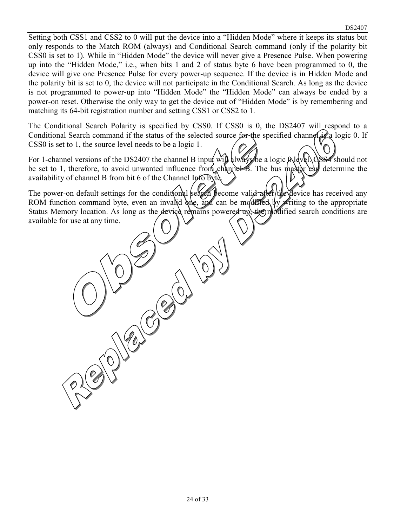Setting both CSS1 and CSS2 to 0 will put the device into a "Hidden Mode" where it keeps its status but only responds to the Match ROM (always) and Conditional Search command (only if the polarity bit CSS0 is set to 1). While in "Hidden Mode" the device will never give a Presence Pulse. When powering up into the "Hidden Mode," i.e., when bits 1 and 2 of status byte 6 have been programmed to 0, the device will give one Presence Pulse for every power-up sequence. If the device is in Hidden Mode and the polarity bit is set to 0, the device will not participate in the Conditional Search. As long as the device is not programmed to power-up into "Hidden Mode" the "Hidden Mode" can always be ended by a power-on reset. Otherwise the only way to get the device out of "Hidden Mode" is by remembering and matching its 64-bit registration number and setting CSS1 or CSS2 to 1.

The Conditional Search Polarity is specified by CSS0. If CSS0 is 0, the DS2407 will respond to a Conditional Search command if the status of the selected source for the specified channel is a logic 0. If CSS0 is set to 1, the source level needs to be a logic 1.

For 1-channel versions of the DS2407 the channel B input will always be a logic  $\lambda \frac{dv}{dx}$ . GSS4 should not be set to 1, therefore, to avoid unwanted influence from channel B. The bus master early determine the availability of channel B from bit 6 of the Channel Info byte.

The power-on default settings for the conditional search become valid after the device has received any ROM function command byte, even an invalid one, and can be moduled by writing to the appropriate<br>Status Memory location. As long as the device remains powered up, the modified search conditions are Status Memory location. As long as the device remains powered  $\mathfrak{m}$ , available for use at any time.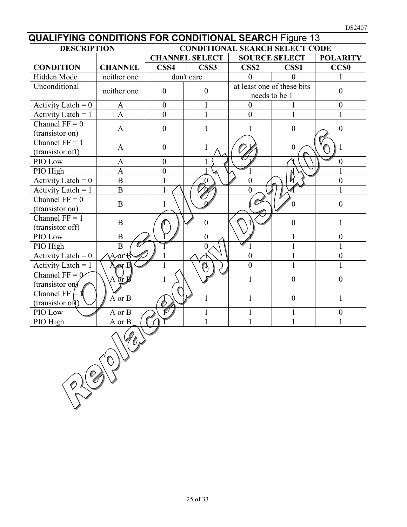| <b>QUALIFYING CONDITIONS FOR CONDITIONAL SEARCH Figure 13</b> |                       |                                                |                  |                  |                                       |                  |  |  |
|---------------------------------------------------------------|-----------------------|------------------------------------------------|------------------|------------------|---------------------------------------|------------------|--|--|
| <b>DESCRIPTION</b>                                            |                       |                                                |                  |                  | <b>CONDITIONAL SEARCH SELECT CODE</b> |                  |  |  |
|                                                               |                       | <b>CHANNEL SELECT</b><br><b>SOURCE SELECT</b>  |                  |                  | <b>POLARITY</b>                       |                  |  |  |
| <b>CONDITION</b>                                              | <b>CHANNEL</b>        | CSS4                                           | CSS3             | CSS <sub>2</sub> | CSS1                                  | <b>CCS0</b>      |  |  |
| Hidden Mode                                                   | neither one           |                                                | don't care       | $\theta$         | $\theta$                              |                  |  |  |
| Unconditional                                                 | neither one           | $\boldsymbol{0}$                               | $\mathbf{0}$     | needs to be 1    | at least one of these bits            | $\mathbf{0}$     |  |  |
| Activity Latch = $0$                                          | $\mathbf{A}$          | $\boldsymbol{0}$                               | 1                | $\mathbf{0}$     |                                       | $\mathbf{0}$     |  |  |
| Activity Latch = $1$                                          | $\mathbf{A}$          | $\overline{0}$                                 | 1                | $\overline{0}$   | $\mathbf{1}$                          |                  |  |  |
| Channel $FF = 0$<br>(transistor on)                           | $\mathbf{A}$          | $\boldsymbol{0}$                               | 1                | 1                | $\boldsymbol{0}$                      | $\boldsymbol{0}$ |  |  |
| Channel $FF = 1$<br>(transistor off)                          | $\mathbf{A}$          | $\boldsymbol{0}$                               | 1                |                  | $\boldsymbol{0}$                      |                  |  |  |
| PIO Low                                                       | A                     | $\boldsymbol{0}$                               |                  |                  |                                       | $\theta$         |  |  |
| PIO High                                                      | $\overline{A}$        | $\overline{0}$                                 |                  |                  | Ń                                     |                  |  |  |
| Activity Latch = $0$                                          | $\bf{B}$              | $\mathbf{1}$                                   | $\overline{0}$   | $\boldsymbol{0}$ | $\not\!\! R$                          | $\boldsymbol{0}$ |  |  |
| Activity Latch = $1$                                          | $\bf{B}$              | $\mathbf{1}$                                   |                  | $\theta$         |                                       | $\mathbf{1}$     |  |  |
| Channel $FF = 0$<br>(transistor on)                           | $\bf{B}$              | 1                                              |                  | $\mathcal C$     |                                       | $\overline{0}$   |  |  |
| Channel $FF = 1$<br>(transistor off)                          | $\bf{B}$              | 1                                              | $\boldsymbol{0}$ |                  | $\boldsymbol{0}$                      | $\mathbf{1}$     |  |  |
| PIO Low                                                       | $\, {\bf B}$          |                                                | $\boldsymbol{0}$ |                  | 1                                     | $\mathbf{0}$     |  |  |
| PIO High                                                      | $\overline{B}$<br>C   |                                                | $\theta$         |                  | $\mathbf{1}$                          | $\mathbf{1}$     |  |  |
| Activity Latch = $0$                                          | Æ                     |                                                |                  | $\mathbf{0}$     | $\mathbf{1}$                          | $\boldsymbol{0}$ |  |  |
| Activity Latch = $1$                                          | $\alpha$ <sub>B</sub> |                                                | $\mathsf{U}$     | $\mathbf{0}$     | $\mathbf{1}$                          |                  |  |  |
| Channel $FF = 0$<br>(transistor on)                           | $A \times B$          | 1                                              |                  | 1                | $\boldsymbol{0}$                      | $\mathbf{0}$     |  |  |
| Channel $\overline{FF}$<br>(transistor off)                   | A or B                | ౧                                              |                  | 1                | $\boldsymbol{0}$                      | 1                |  |  |
| PIO Low                                                       | A or B                | $\bm{\not\! \! \! \! \! \! \! \! \mathscr{O}}$ | 1                | $\mathbf{1}$     | $\mathbf{1}$                          | $\boldsymbol{0}$ |  |  |
| PIO High                                                      | A or B                |                                                | 1                |                  | $\mathbf{1}$                          | 1                |  |  |
|                                                               |                       |                                                |                  |                  |                                       |                  |  |  |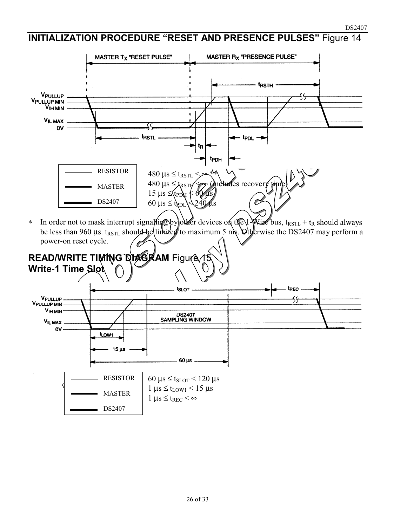### **INITIALIZATION PROCEDURE "RESET AND PRESENCE PULSES"** Figure 14

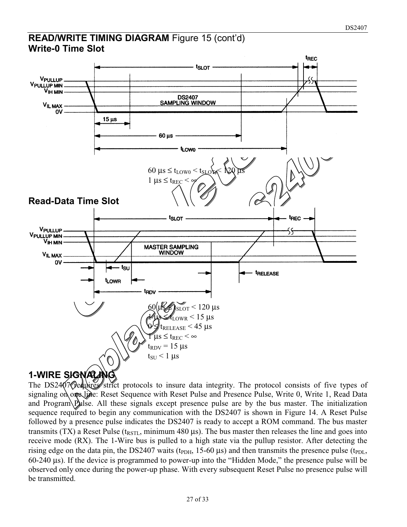#### **READ/WRITE TIMING DIAGRAM** Figure 15 (cont'd) **Write-0 Time Slot**



## **1-WIRE SIGNAL**

The DS2407 requires strict protocols to insure data integrity. The protocol consists of five types of signaling on one line: Reset Sequence with Reset Pulse and Presence Pulse, Write 0, Write 1, Read Data and Program Pulse. All these signals except presence pulse are by the bus master. The initialization sequence required to begin any communication with the DS2407 is shown in Figure 14. A Reset Pulse followed by a presence pulse indicates the DS2407 is ready to accept a ROM command. The bus master transmits (TX) a Reset Pulse ( $t_{RSTL}$ , minimum 480 µs). The bus master then releases the line and goes into receive mode (RX). The 1-Wire bus is pulled to a high state via the pullup resistor. After detecting the rising edge on the data pin, the DS2407 waits ( $t_{PDH}$ , 15-60  $\mu$ s) and then transmits the presence pulse ( $t_{PDI}$ , 60-240 µs). If the device is programmed to power-up into the "Hidden Mode," the presence pulse will be observed only once during the power-up phase. With every subsequent Reset Pulse no presence pulse will be transmitted.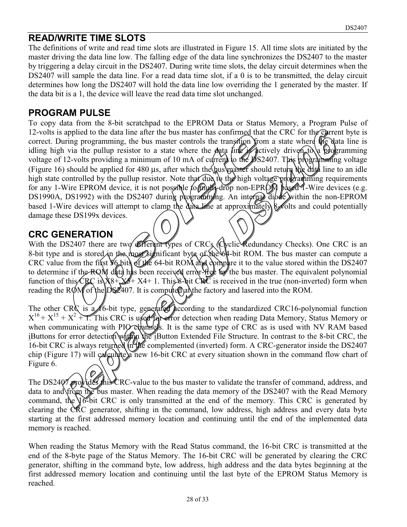#### **READ/WRITE TIME SLOTS**

The definitions of write and read time slots are illustrated in Figure 15. All time slots are initiated by the master driving the data line low. The falling edge of the data line synchronizes the DS2407 to the master by triggering a delay circuit in the DS2407. During write time slots, the delay circuit determines when the DS2407 will sample the data line. For a read data time slot, if a 0 is to be transmitted, the delay circuit determines how long the DS2407 will hold the data line low overriding the 1 generated by the master. If the data bit is a 1, the device will leave the read data time slot unchanged.

#### **PROGRAM PULSE**

To copy data from the 8-bit scratchpad to the EPROM Data or Status Memory, a Program Pulse of 12-volts is applied to the data line after the bus master has confirmed that the CRC for the current byte is correct. During programming, the bus master controls the transition from a state where the data line is idling high via the pullup resistor to a state where the data line is actively driven to a programming voltage of 12-volts providing a minimum of 10 mA of current to the DS2407. This programming voltage (Figure 16) should be applied for 480 µs, after which the bus master should return the data line to an idle high state controlled by the pullup resistor. Note that due to the high voltage programming requirements for any 1-Wire EPROM device, it is not possible to multi-drop non-EPROM based 1-Wire devices (e.g. DS1990A, DS1992) with the DS2407 during programming. An internal diper within the non-EPROM based 1-Wire devices will attempt to clamp the data line at approximately 8-volts and could potentially damage these DS199x devices.

### **CRC GENERATION**

With the DS2407 there are two different types of  $CRC_{S}$  (Cyclic Redundancy Checks). One CRC is an 8-bit type and is stored in the most significant byte of the 64-bit ROM. The bus master can compute a CRC value from the first 56 bits of the 64-bit ROM and compare it to the value stored within the DS2407 to determine if the RQM data has been received error-free by the bus master. The equivalent polynomial function of this  $CRC$  is  $X8+X5+X4+1$ . This 8-bit CRC is received in the true (non-inverted) form when reading the  $R\phi M$  of the DS2407. It is computed at the factory and lasered into the ROM.

The other CRC is a 16-bit type, generated according to the standardized CRC16-polynomial function  $X^{16} + X^{15} + X^2 + 1$ . This CRC is used for error detection when reading Data Memory, Status Memory or when communicating with PIO channels. It is the same type of CRC as is used with NV RAM based iButtons for error detection within the iButton Extended File Structure. In contrast to the 8-bit CRC, the 16-bit CRC is always returned in the complemented (inverted) form. A CRC-generator inside the DS2407 chip (Figure 17) will calculate a new 16-bit CRC at every situation shown in the command flow chart of Figure 6.

The DS2407 provides this CRC-value to the bus master to validate the transfer of command, address, and data to and from the bus master. When reading the data memory of the DS2407 with the Read Memory command, the  $\sqrt{6}$ -bit CRC is only transmitted at the end of the memory. This CRC is generated by clearing the CRC generator, shifting in the command, low address, high address and every data byte starting at the first addressed memory location and continuing until the end of the implemented data memory is reached.

When reading the Status Memory with the Read Status command, the 16-bit CRC is transmitted at the end of the 8-byte page of the Status Memory. The 16-bit CRC will be generated by clearing the CRC generator, shifting in the command byte, low address, high address and the data bytes beginning at the first addressed memory location and continuing until the last byte of the EPROM Status Memory is reached.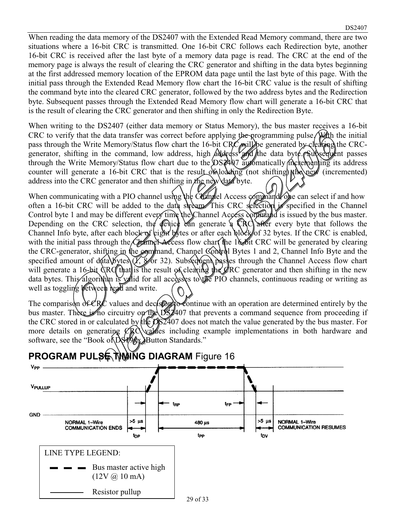When reading the data memory of the DS2407 with the Extended Read Memory command, there are two situations where a 16-bit CRC is transmitted. One 16-bit CRC follows each Redirection byte, another 16-bit CRC is received after the last byte of a memory data page is read. The CRC at the end of the memory page is always the result of clearing the CRC generator and shifting in the data bytes beginning at the first addressed memory location of the EPROM data page until the last byte of this page. With the initial pass through the Extended Read Memory flow chart the 16-bit CRC value is the result of shifting the command byte into the cleared CRC generator, followed by the two address bytes and the Redirection byte. Subsequent passes through the Extended Read Memory flow chart will generate a 16-bit CRC that is the result of clearing the CRC generator and then shifting in only the Redirection Byte.

When writing to the DS2407 (either data memory or Status Memory), the bus master receives a 16-bit CRC to verify that the data transfer was correct before applying the programming pulse. With the initial pass through the Write Memory/Status flow chart the 16-bit CRC will be generated by clearing the CRCgenerator, shifting in the command, low address, high address and the data byte. Subsequent passes through the Write Memory/Status flow chart due to the DS2407 automatically *fincrementing* its address counter will generate a 16-bit CRC that is the result of loading (not shifting) the new (incremented) address into the CRC generator and then shifting in the new data byte.

When communicating with a PIO channel using the Channel Access command, the can select if and how often a 16-bit CRC will be added to the data stream. This CRC selection is specified in the Channel Control byte 1 and may be different every time the Channel Access command is issued by the bus master. Depending on the CRC selection, the device can generate  $\oint$  CRC after every byte that follows the Channel Info byte, after each block of eight bytes or after each block of 32 bytes. If the CRC is enabled, with the initial pass through the Channel Access flow chart the 16-bit CRC will be generated by clearing the CRC-generator, shifting in the command, Channel Control Bytes 1 and 2, Channel Info Byte and the specified amount of data  $\bigvee Y$  ( $\bigvee Y$ ,  $\bigotimes' Y$  or 32). Subsequent passes through the Channel Access flow chart will generate a 16-bit  $\binom{n}{k}$  that is the result of clearing the CRC generator and then shifting in the new data bytes. This algorithm is valid for all accesses to the PIO channels, continuous reading or writing as well as toggling vetween read and write.

The comparison of  $CRL$  values and decision to continue with an operation are determined entirely by the bus master. There is no circuitry on the DS2407 that prevents a command sequence from proceeding if the CRC stored in or calculated by the DS2407 does not match the value generated by the bus master. For more details on generating  $CRQ\n$  values including example implementations in both hardware and software, see the "Book of DS190x Button Standards."



## **PROGRAM PULSE TIMING DIAGRAM Figure 16**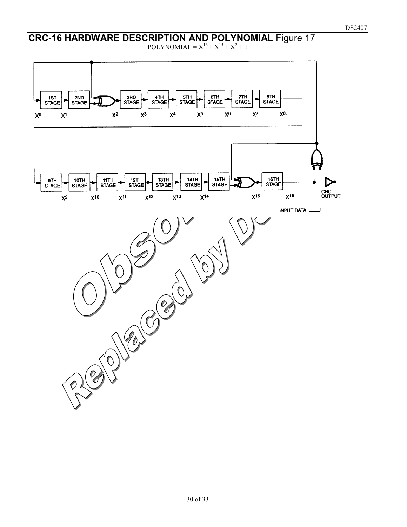#### **CRC-16 HARDWARE DESCRIPTION AND POLYNOMIAL** Figure 17 POLYNOMIAL =  $X^{16} + X^{15} + X^2 + 1$

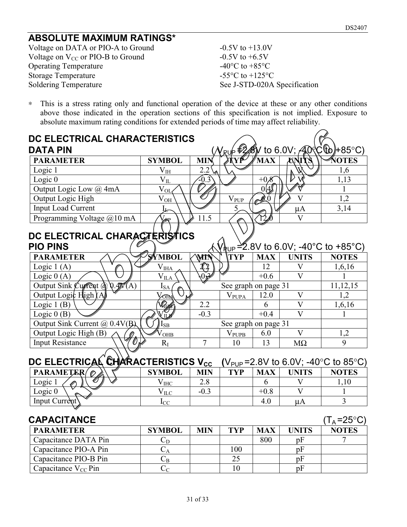## **ABSOLUTE MAXIMUM RATINGS\***

Voltage on DATA or PIO-A to Ground  $-0.5V$  to  $+13.0V$ Voltage on  $V_{CC}$  or PIO-B to Ground  $-0.5V$  to  $+6.5V$ <br>Operating Temperature  $-40^{\circ}C$  to  $+85^{\circ}C$ Operating Temperature Storage Temperature -55°C to +125°C Soldering Temperature See J-STD-020A Specification

∗ This is a stress rating only and functional operation of the device at these or any other conditions above those indicated in the operation sections of this specification is not implied. Exposure to absolute maximum rating conditions for extended periods of time may affect reliability.

| DC ELECTRICAL CHARACTERISTICS                                    |                                       |                 |                                            |                   |                         |                                                                                |
|------------------------------------------------------------------|---------------------------------------|-----------------|--------------------------------------------|-------------------|-------------------------|--------------------------------------------------------------------------------|
| <b>DATA PIN</b>                                                  |                                       |                 |                                            |                   |                         | $V_{\text{RU}}$ $\neq$ 2.8V to 6.0V; $\neq$ 0 $\degree$ C (to +85 $\degree$ C) |
| <b>PARAMETER</b>                                                 | <b>SYMBOL</b>                         | <b>MIN</b>      | YP                                         | 'MAX              | WN                      | <b>NOTES</b>                                                                   |
| Logic 1                                                          | $\rm V_{IH}$                          | $2.2^{\degree}$ |                                            |                   |                         | 1,6                                                                            |
| Logic $0$                                                        | $\rm V_{II}$                          | $\Omega(3)$     |                                            | $+0.8$            |                         | 1,13                                                                           |
| Output Logic Low @ 4mA                                           | $\rm V_{OL}$                          |                 |                                            | $0\vert 4\rangle$ |                         | $\mathbf{1}$                                                                   |
| Output Logic High                                                | $\rm V_{\rm O\!H}$                    |                 | $\rm V_{PUP}$                              |                   | $\overline{\text{V}}$   | 1,2                                                                            |
| Input Load Current                                               | Ŀ                                     |                 | 5                                          |                   | μA                      | 3,14                                                                           |
| Programming Voltage @10 mA                                       | $\overline{\mathbb{R}}$               | 11.5            |                                            |                   | $\overline{\mathbf{V}}$ |                                                                                |
|                                                                  |                                       |                 |                                            |                   |                         |                                                                                |
| DC ELECTRICAL CHARACTERISTICS                                    |                                       |                 |                                            |                   |                         |                                                                                |
| <b>PIO PINS</b>                                                  |                                       |                 |                                            |                   |                         | $\psi_{\text{RUP}} = 2.8V$ to 6.0V; -40°C to +85°C)                            |
| <b>PARAMETER</b>                                                 | <b>SYMBOL</b>                         | <b>MTN</b>      | <b>TYP</b>                                 | <b>MAX</b>        | <b>UNITS</b>            | <b>NOTES</b>                                                                   |
| Logic $1(A)$                                                     | $\rm V_{\rm IHA}$                     | <u>A.z</u>      |                                            | 12                | V                       | 1,6,16                                                                         |
| Logic $0(A)$                                                     | $\rm V_{I\underline{L}\underline{A}}$ | 0.3             |                                            | $+0.6$            | $\overline{\mathbf{V}}$ |                                                                                |
| Output Sink $\mathcal{L}$ <i>urrent</i> $\mathcal{L}$<br>0.4W(A) | $I_{\rm SA}$                          |                 | See graph on page 31                       |                   |                         | 11, 12, 15                                                                     |
| Output Logic High)                                               | VOHA                                  |                 | $\rm V_{PU{\underline{P}}{\underline{A}}}$ | 12.0              | $\overline{\mathsf{V}}$ | 1,2                                                                            |
| Logic $1(B)$                                                     | <b>VOUR</b>                           | 2.2             |                                            | 6                 | $\overline{\mathbf{V}}$ | 1,6,16                                                                         |
| Logic $0(B)$                                                     |                                       | $-0.3$          |                                            | $+0.4$            | $\overline{\mathsf{V}}$ |                                                                                |
| Output Sink Current @ 0.4V(B).                                   | $I_{SB}$                              |                 | See graph on page 31                       |                   |                         |                                                                                |
| Output Logic High (B)                                            | OHB                                   |                 | V <sub>PUPB</sub>                          | 6.0               | $\overline{V}$          | 1,2                                                                            |
| <b>Input Resistance</b>                                          | $R_I$                                 | $\overline{7}$  | 10                                         | 13                | $M\Omega$               | 9                                                                              |
|                                                                  |                                       |                 |                                            |                   |                         |                                                                                |
| DC ELECTRICAL CHARACTERISTICS V <sub>cc</sub>                    |                                       |                 |                                            |                   |                         | ( $V_{\text{PUP}}$ =2.8V to 6.0V; -40°C to 85°C)                               |
| PARAMETER/                                                       | <b>SYMBOL</b>                         | <b>MIN</b>      | <b>TYP</b>                                 | <b>MAX</b>        | <b>UNITS</b>            | <b>NOTES</b>                                                                   |
| Logic 1                                                          | $\rm V_{\rm IHC}$                     | 2.8             |                                            | 6                 | V                       | 1,10                                                                           |
| Logic $0$                                                        | $\rm V_{ILC}$                         | $-0.3$          |                                            | $+0.8$            | $\overline{\mathbf{V}}$ |                                                                                |
| Input Current                                                    | $I_{CC}$                              |                 |                                            | 4.0               | $\mu A$                 | $\overline{3}$                                                                 |

| CAPACITANCE |
|-------------|
|-------------|

| <b>CAPACITANCE</b>       |                         |            |            |     |              | $(T_A = 25^{\circ}C)$ |
|--------------------------|-------------------------|------------|------------|-----|--------------|-----------------------|
| <b>PARAMETER</b>         | <b>SYMBOL</b>           | <b>MIN</b> | <b>TYP</b> | MAX | <b>UNITS</b> | <b>NOTES</b>          |
| Capacitance DATA Pin     | Сn                      |            |            | 800 | pF           |                       |
| Capacitance PIO-A Pin    | ΨA                      |            | 100        |     | pF           |                       |
| Capacitance PIO-B Pin    | $\mathbb{C}_\mathbf{B}$ |            | 25         |     | pF           |                       |
| Capacitance $V_{CC}$ Pin |                         |            |            |     | pF           |                       |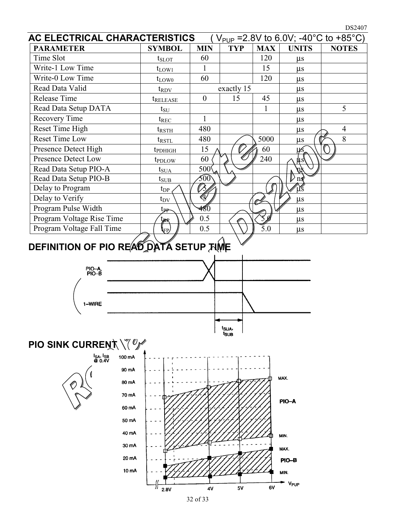| <b>PARAMETER</b>          | <b>SYMBOL</b>                  | <b>MIN</b>   | <b>TYP</b> | <b>MAX</b>       | <b>UNITS</b> | <b>NOTES</b>   |
|---------------------------|--------------------------------|--------------|------------|------------------|--------------|----------------|
| Time Slot                 | $t_{SLOT}$                     | 60           |            | 120              | $\mu$ s      |                |
| Write-1 Low Time          | $t_{LOW1}$                     |              |            | 15               | $\mu$ s      |                |
| Write-0 Low Time          | $t_{LOW0}$                     | 60           |            | 120              | $\mu s$      |                |
| Read Data Valid           | $t_{\rm{RDV}}$                 |              | exactly 15 |                  | $\mu s$      |                |
| Release Time              | ${\rm t_{RELEASE}}$            | $\theta$     | 15         | 45               | $\mu$ s      |                |
| Read Data Setup DATA      | $t_{\rm SU}$                   |              |            |                  | $\mu$ s      | 5              |
| Recovery Time             | ${\rm t_{REC}}$                | $\mathbf{1}$ |            |                  | $\mu$ s      |                |
| Reset Time High           | $t_{RSTH}$                     | 480          |            |                  | $\mu s$      | $\overline{4}$ |
| <b>Reset Time Low</b>     | $t_{\rm RSTL}$                 | 480          |            | 5000             | $\mu$ s      | 8              |
| Presence Detect High      | <b>t</b> <sub>PDHIGH</sub>     | 15           |            | 60               | μś,          |                |
| Presence Detect Low       | t <sub>p</sub> <sub>DLOW</sub> | 60           |            | 240              | ψs!          |                |
| Read Data Setup PIO-A     | $t_{\rm SUA}$                  | 500          |            |                  |              |                |
| Read Data Setup PIO-B     | $t_{SUB}$                      | 500          |            |                  | ns           |                |
| Delay to Program          | $t_{DP}$                       | B,           |            |                  | ιľs          |                |
| Delay to Verify           | $t_{\rm DV}$                   | Ç            |            |                  | $\mu s$      |                |
| Program Pulse Width       | tµ⊷                            | 480          |            |                  | $\mu s$      |                |
| Program Voltage Rise Time | <b>Ler</b>                     | 0.5          |            |                  | $\mu$ s      |                |
| Program Voltage Fall Time | (FP                            | 0.5          |            | $\overline{5.0}$ | $\mu$ s      |                |

# **DEFINITION OF PIO READ DATA SETUP TIME**